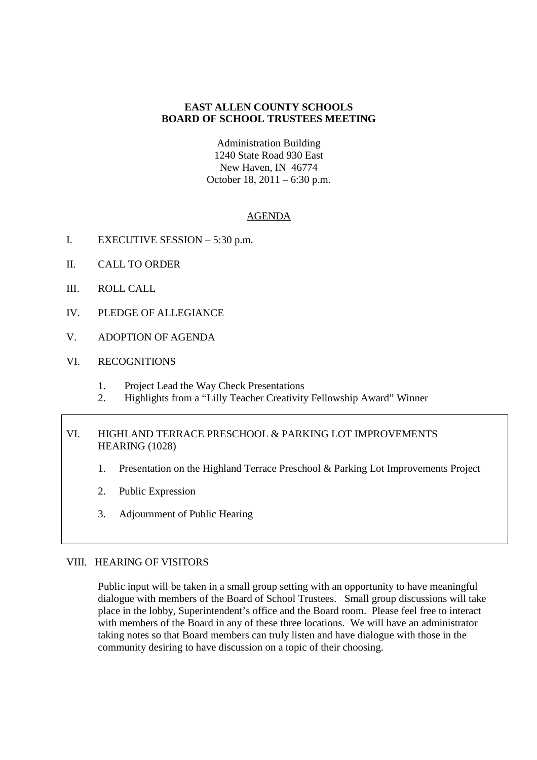## **EAST ALLEN COUNTY SCHOOLS BOARD OF SCHOOL TRUSTEES MEETING**

Administration Building 1240 State Road 930 East New Haven, IN 46774 October 18, 2011 – 6:30 p.m.

# AGENDA

- I. EXECUTIVE SESSION 5:30 p.m.
- II. CALL TO ORDER
- III. ROLL CALL
- IV. PLEDGE OF ALLEGIANCE
- V. ADOPTION OF AGENDA
- VI. RECOGNITIONS
	- 1. Project Lead the Way Check Presentations
	- 2. Highlights from a "Lilly Teacher Creativity Fellowship Award" Winner

# VI. HIGHLAND TERRACE PRESCHOOL & PARKING LOT IMPROVEMENTS HEARING (1028)

- 1. Presentation on the Highland Terrace Preschool & Parking Lot Improvements Project
- 2. Public Expression
- 3. Adjournment of Public Hearing

## VIII. HEARING OF VISITORS

Public input will be taken in a small group setting with an opportunity to have meaningful dialogue with members of the Board of School Trustees. Small group discussions will take place in the lobby, Superintendent's office and the Board room. Please feel free to interact with members of the Board in any of these three locations. We will have an administrator taking notes so that Board members can truly listen and have dialogue with those in the community desiring to have discussion on a topic of their choosing.